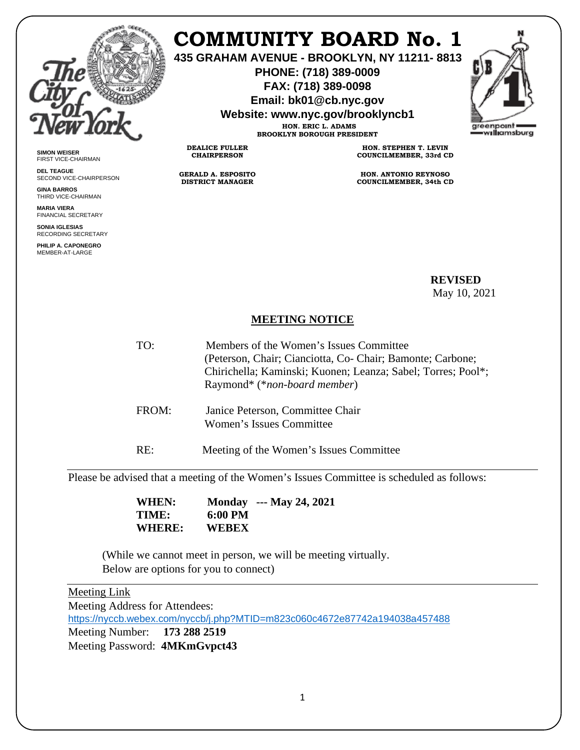

**SIMON WEISER** FIRST VICE-CHAIRMAN **DEL TEAGUE**

**GINA BARROS** THIRD VICE-CHAIRMAN **MARIA VIERA** FINANCIAL SECRETARY **SONIA IGLESIAS** RECORDING SECRETARY **PHILIP A. CAPONEGRO** MEMBER-AT-LARGE

SECOND VICE-CHAIRPERSON

# **COMMUNITY BOARD No. 1**

**435 GRAHAM AVENUE - BROOKLYN, NY 11211- 8813**

**PHONE: (718) 389-0009 FAX: (718) 389-0098**

**Email: bk01@cb.nyc.gov**

**Website: www.nyc.gov/brooklyncb1**



**HON. ERIC L. ADAMS BROOKLYN BOROUGH PRESIDENT**

**DEALICE FULLER CHAIRPERSON**

**GERALD A. ESPOSITO DISTRICT MANAGER**

**HON. STEPHEN T. LEVIN COUNCILMEMBER, 33rd CD**

**HON. ANTONIO REYNOSO COUNCILMEMBER, 34th CD**

 **REVISED**  May 10, 2021

## **MEETING NOTICE**

- TO: Members of the Women's Issues Committee (Peterson, Chair; Cianciotta, Co- Chair; Bamonte; Carbone; Chirichella; Kaminski; Kuonen; Leanza; Sabel; Torres; Pool\*; Raymond\* (\**non-board member*)
- FROM: Janice Peterson, Committee Chair Women's Issues Committee
- RE: Meeting of the Women's Issues Committee

Please be advised that a meeting of the Women's Issues Committee is scheduled as follows:

 **WHEN: Monday --- May 24, 2021 TIME: 6:00 PM WHERE: WEBEX**

(While we cannot meet in person, we will be meeting virtually. Below are options for you to connect)

## Meeting Link

Meeting Address for Attendees: <https://nyccb.webex.com/nyccb/j.php?MTID=m823c060c4672e87742a194038a457488> Meeting Number: **173 288 2519** Meeting Password: **4MKmGvpct43**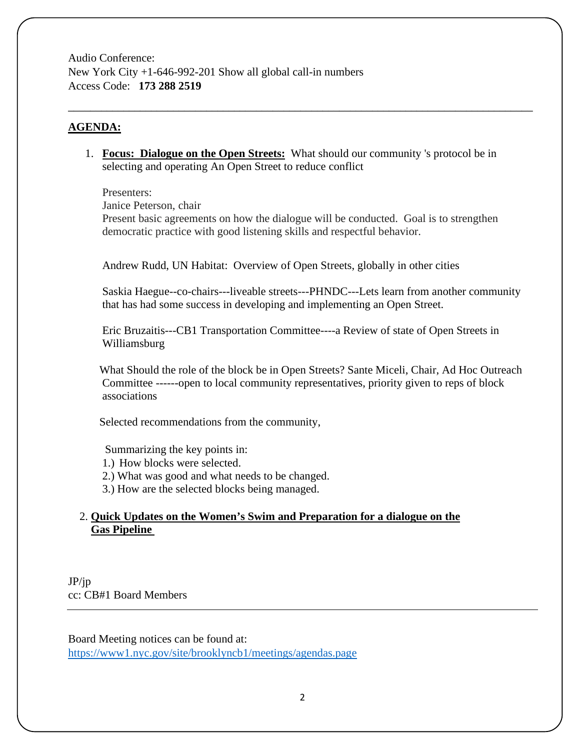Audio Conference: New York City +1-646-992-201 Show all global call-in numbers Access Code: **173 288 2519**

#### **AGENDA:**

1. **Focus: Dialogue on the Open Streets:** What should our community 's protocol be in selecting and operating An Open Street to reduce conflict

\_\_\_\_\_\_\_\_\_\_\_\_\_\_\_\_\_\_\_\_\_\_\_\_\_\_\_\_\_\_\_\_\_\_\_\_\_\_\_\_\_\_\_\_\_\_\_\_\_\_\_\_\_\_\_\_\_\_\_\_\_\_\_\_\_\_\_\_\_\_\_\_\_\_\_\_\_\_\_\_\_\_\_\_

Presenters:

Janice Peterson, chair

Present basic agreements on how the dialogue will be conducted. Goal is to strengthen democratic practice with good listening skills and respectful behavior.

Andrew Rudd, UN Habitat: Overview of Open Streets, globally in other cities

Saskia Haegue--co-chairs---liveable streets---PHNDC---Lets learn from another community that has had some success in developing and implementing an Open Street.

Eric Bruzaitis---CB1 Transportation Committee----a Review of state of Open Streets in Williamsburg

 What Should the role of the block be in Open Streets? Sante Miceli, Chair, Ad Hoc Outreach Committee ------open to local community representatives, priority given to reps of block associations

Selected recommendations from the community,

Summarizing the key points in:

- 1.) How blocks were selected.
- 2.) What was good and what needs to be changed.
- 3.) How are the selected blocks being managed.

### 2. **Quick Updates on the Women's Swim and Preparation for a dialogue on the Gas Pipeline**

JP/jp cc: CB#1 Board Members

Board Meeting notices can be found at: <https://www1.nyc.gov/site/brooklyncb1/meetings/agendas.page>